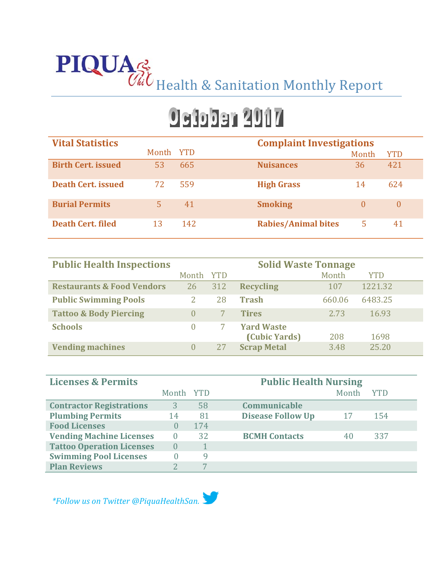# **PIQUA**<sup>2</sup> Health & Sanitation Monthly Report

## **Osiobar 2017**

| <b>Vital Statistics</b>   |           |     |                            | <b>Complaint Investigations</b> |            |  |
|---------------------------|-----------|-----|----------------------------|---------------------------------|------------|--|
|                           | Month YTD |     |                            | Month                           | <b>YTD</b> |  |
| <b>Birth Cert. issued</b> | 53        | 665 | <b>Nuisances</b>           | 36                              | 421        |  |
| <b>Death Cert, issued</b> | 72.       | 559 | <b>High Grass</b>          | 14                              | 624        |  |
| <b>Burial Permits</b>     |           | 41  | <b>Smoking</b>             | $\theta$                        | $\theta$   |  |
| <b>Death Cert, filed</b>  | 13        | 142 | <b>Rabies/Animal bites</b> | 5                               | 41         |  |

| <b>Public Health Inspections</b>      | <b>Solid Waste Tonnage</b> |            |                    |        |            |  |
|---------------------------------------|----------------------------|------------|--------------------|--------|------------|--|
|                                       | Month                      | <b>YTD</b> |                    | Month  | <b>YTD</b> |  |
| <b>Restaurants &amp; Food Vendors</b> | 26                         | 312        | <b>Recycling</b>   | 107    | 1221.32    |  |
| <b>Public Swimming Pools</b>          |                            | 28         | <b>Trash</b>       | 660.06 | 6483.25    |  |
| <b>Tattoo &amp; Body Piercing</b>     | $\Omega$                   |            | <b>Tires</b>       | 2.73   | 16.93      |  |
| <b>Schools</b>                        | $\cup$                     |            | <b>Yard Waste</b>  |        |            |  |
|                                       |                            |            | (Cubic Yards)      | 208    | 1698       |  |
| <b>Vending machines</b>               | $\Omega$                   | 27         | <b>Scrap Metal</b> | 3.48   | 25.20      |  |

| <b>Licenses &amp; Permits</b>    | <b>Public Health Nursing</b> |     |                          |       |            |
|----------------------------------|------------------------------|-----|--------------------------|-------|------------|
|                                  | Month YTD                    |     |                          | Month | <b>YTD</b> |
| <b>Contractor Registrations</b>  | 3                            | 58  | Communicable             |       |            |
| <b>Plumbing Permits</b>          | 14                           | 81  | <b>Disease Follow Up</b> | 17    | 154        |
| <b>Food Licenses</b>             | $\mathcal{O}$                | 174 |                          |       |            |
| <b>Vending Machine Licenses</b>  | $\Omega$                     | 32  | <b>BCMH Contacts</b>     | 40    | 337        |
| <b>Tattoo Operation Licenses</b> | $\cup$                       |     |                          |       |            |
| <b>Swimming Pool Licenses</b>    | 0                            | q   |                          |       |            |
| <b>Plan Reviews</b>              |                              |     |                          |       |            |